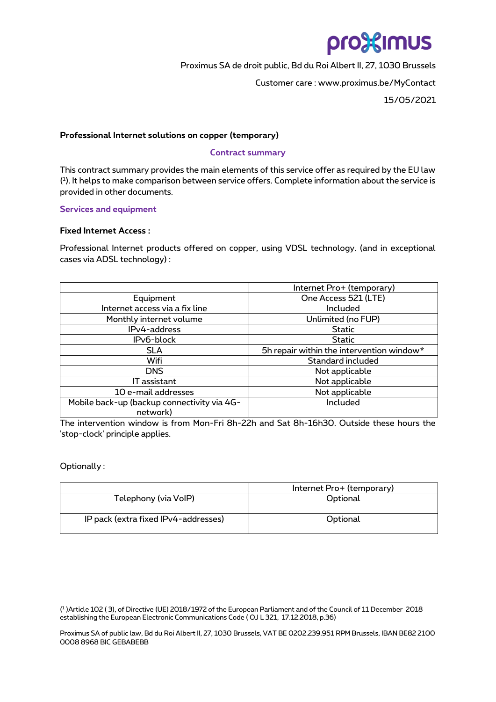# pro%imus

 Proximus SA de droit public, Bd du Roi Albert II, 27, 1030 Brussels Customer care : www.proximus.be/MyContact 15/05/2021

## **Professional Internet solutions on copper (temporary)**

# **Contract summary**

This contract summary provides the main elements of this service offer as required by the EU law ( 1 ). It helps to make comparison between service offers. Complete information about the service is provided in other documents.

## **Services and equipment**

## **Fixed Internet Access :**

Professional Internet products offered on copper, using VDSL technology. (and in exceptional cases via ADSL technology) :

|                                                         | Internet Pro+ (temporary)                 |  |  |  |  |
|---------------------------------------------------------|-------------------------------------------|--|--|--|--|
| Equipment                                               | One Access 521 (LTE)                      |  |  |  |  |
| Internet access via a fix line                          | Included                                  |  |  |  |  |
| Monthly internet volume                                 | Unlimited (no FUP)                        |  |  |  |  |
| IPv4-address                                            | <b>Static</b>                             |  |  |  |  |
| IPv6-block                                              | <b>Static</b>                             |  |  |  |  |
| <b>SLA</b>                                              | 5h repair within the intervention window* |  |  |  |  |
| Wifi                                                    | Standard included                         |  |  |  |  |
| <b>DNS</b>                                              | Not applicable                            |  |  |  |  |
| IT assistant                                            | Not applicable                            |  |  |  |  |
| 10 e-mail addresses                                     | Not applicable                            |  |  |  |  |
| Mobile back-up (backup connectivity via 4G-<br>network) | Included                                  |  |  |  |  |
|                                                         |                                           |  |  |  |  |

The intervention window is from Mon-Fri 8h-22h and Sat 8h-16h30. Outside these hours the 'stop-clock' principle applies.

# Optionally :

|                                      | Internet Pro+ (temporary) |
|--------------------------------------|---------------------------|
| Telephony (via VoIP)                 | Optional                  |
| IP pack (extra fixed IPv4-addresses) | Optional                  |

( 1 )Article 102 ( 3), of Directive (UE) 2018/1972 of the European Parliament and of the Council of 11 December 2018 establishing the European Electronic Communications Code ( OJ L 321, 17.12.2018, p.36)

Proximus SA of public law, Bd du Roi Albert II, 27, 1030 Brussels, VAT BE 0202.239.951 RPM Brussels, IBAN BE82 2100 0008 8968 BIC GEBABEBB